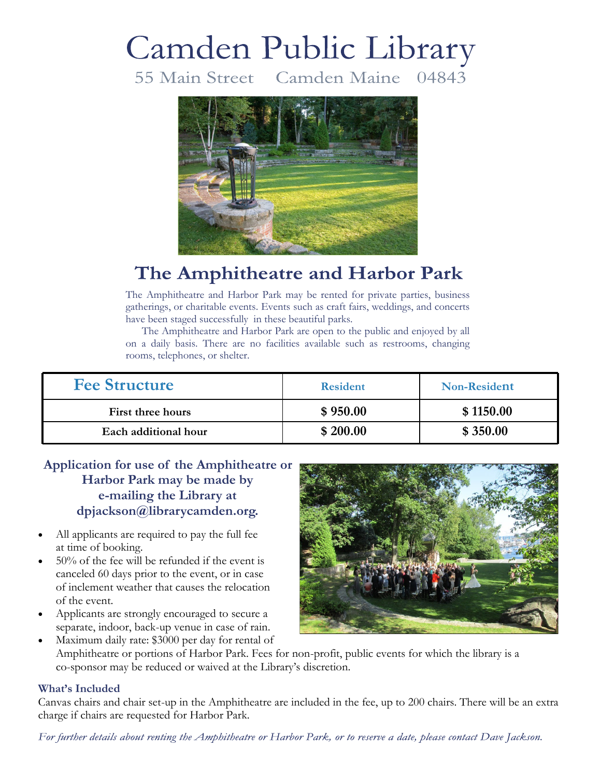# Camden Public Library

55 Main Street Camden Maine 04843



## The Amphitheatre and Harbor Park

The Amphitheatre and Harbor Park may be rented for private parties, business gatherings, or charitable events. Events such as craft fairs, weddings, and concerts have been staged successfully in these beautiful parks.

 The Amphitheatre and Harbor Park are open to the public and enjoyed by all on a daily basis. There are no facilities available such as restrooms, changing rooms, telephones, or shelter.

| <b>Fee Structure</b> | <b>Resident</b> | <b>Non-Resident</b> |
|----------------------|-----------------|---------------------|
| First three hours    | \$950.00        | \$1150.00           |
| Each additional hour | \$200.00        | \$350.00            |

#### **Application for use of the Amphitheatre or Harbor Park may be made by e-mailing the Library at dpjackson@librarycamden.org.**

- All applicants are required to pay the full fee at time of booking.
- 50% of the fee will be refunded if the event is canceled 60 days prior to the event, or in case of inclement weather that causes the relocation of the event.
- Applicants are strongly encouraged to secure a separate, indoor, back-up venue in case of rain.



Maximum daily rate: \$3000 per day for rental of Amphitheatre or portions of Harbor Park. Fees for non-profit, public events for which the library is a co-sponsor may be reduced or waived at the Library's discretion.

#### **What's Included**

Canvas chairs and chair set-up in the Amphitheatre are included in the fee, up to 200 chairs. There will be an extra charge if chairs are requested for Harbor Park.

For further details about renting the Amphitheatre or Harbor Park, or to reserve a date, please contact Dave Jackson.